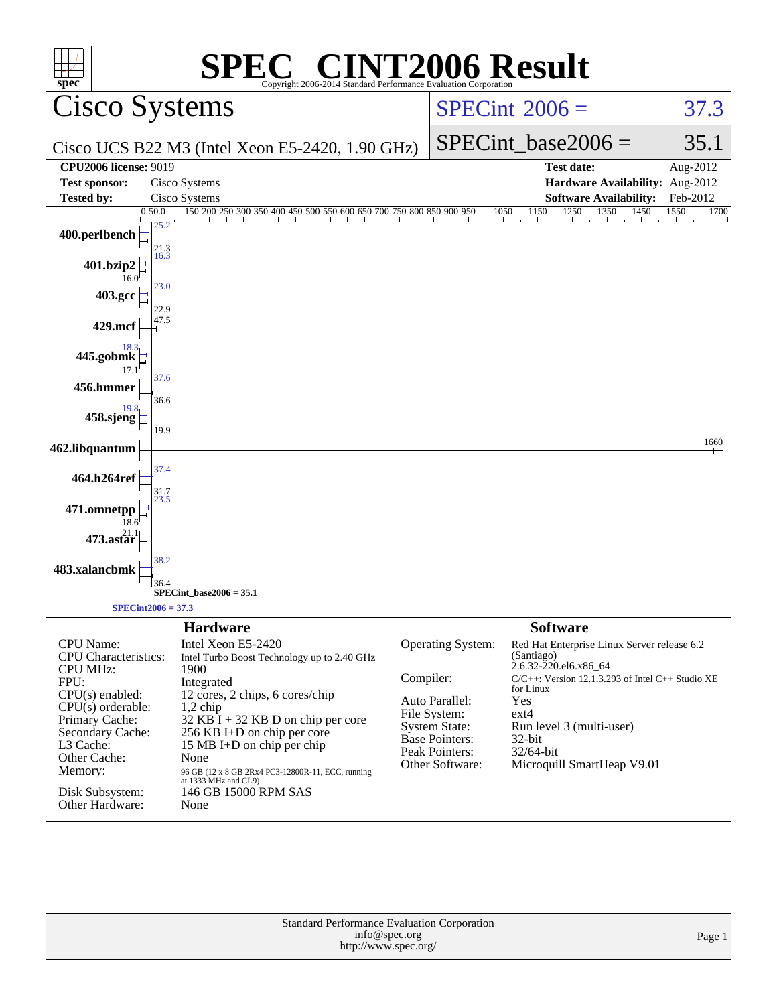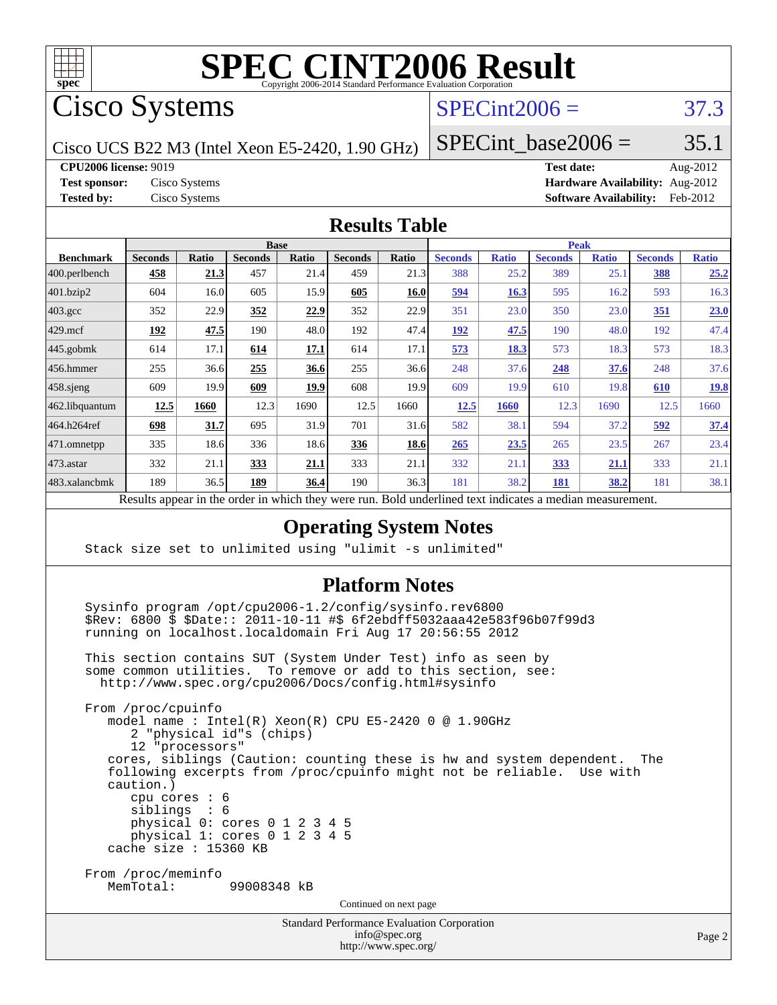

Cisco Systems

## $SPECint2006 = 37.3$  $SPECint2006 = 37.3$

Cisco UCS B22 M3 (Intel Xeon E5-2420, 1.90 GHz)

SPECint base2006 =  $35.1$ 

**[CPU2006 license:](http://www.spec.org/auto/cpu2006/Docs/result-fields.html#CPU2006license)** 9019 **[Test date:](http://www.spec.org/auto/cpu2006/Docs/result-fields.html#Testdate)** Aug-2012

**[Test sponsor:](http://www.spec.org/auto/cpu2006/Docs/result-fields.html#Testsponsor)** Cisco Systems **[Hardware Availability:](http://www.spec.org/auto/cpu2006/Docs/result-fields.html#HardwareAvailability)** Aug-2012 **[Tested by:](http://www.spec.org/auto/cpu2006/Docs/result-fields.html#Testedby)** Cisco Systems **[Software Availability:](http://www.spec.org/auto/cpu2006/Docs/result-fields.html#SoftwareAvailability)** Feb-2012

#### **[Results Table](http://www.spec.org/auto/cpu2006/Docs/result-fields.html#ResultsTable)**

|                  | <b>Base</b>    |       |                |              |                |              | <b>Peak</b>    |              |                |              |                |              |
|------------------|----------------|-------|----------------|--------------|----------------|--------------|----------------|--------------|----------------|--------------|----------------|--------------|
| <b>Benchmark</b> | <b>Seconds</b> | Ratio | <b>Seconds</b> | <b>Ratio</b> | <b>Seconds</b> | <b>Ratio</b> | <b>Seconds</b> | <b>Ratio</b> | <b>Seconds</b> | <b>Ratio</b> | <b>Seconds</b> | <b>Ratio</b> |
| 400.perlbench    | 458            | 21.3  | 457            | 21.4         | 459            | 21.3         | 388            | 25.2         | 389            | 25.1         | 388            | 25.2         |
| 401.bzip2        | 604            | 16.0  | 605            | 15.9         | 605            | 16.0         | <u>594</u>     | 16.3         | 595            | 16.2         | 593            | 16.3         |
| $403.\text{gcc}$ | 352            | 22.9  | 352            | 22.9         | 352            | 22.9         | 351            | 23.0         | 350            | 23.0         | 351            | 23.0         |
| $429$ mcf        | 192            | 47.5  | 190            | 48.0         | 192            | 47.4         | 192            | 47.5         | 190            | 48.0         | 192            | 47.4         |
| $445$ .gobmk     | 614            | 17.1  | 614            | 17.1         | 614            | 17.1         | 573            | 18.3         | 573            | 18.3         | 573            | 18.3         |
| $456.$ hmmer     | 255            | 36.6  | 255            | 36.6         | 255            | 36.6         | 248            | 37.6         | 248            | 37.6         | 248            | 37.6         |
| $458$ .sjeng     | 609            | 19.9  | 609            | 19.9         | 608            | 19.9         | 609            | 19.9         | 610            | 19.8         | 610            | <u>19.8</u>  |
| 462.libquantum   | 12.5           | 1660  | 12.3           | 1690         | 12.5           | 1660         | 12.5           | 1660         | 12.3           | 1690         | 12.5           | 1660         |
| 464.h264ref      | 698            | 31.7  | 695            | 31.9         | 701            | 31.6         | 582            | 38.1         | 594            | 37.2         | 592            | 37.4         |
| $ 471$ .omnetpp  | 335            | 18.6  | 336            | 18.6         | 336            | 18.6         | 265            | 23.5         | 265            | 23.5         | 267            | 23.4         |
| $473$ . astar    | 332            | 21.1  | 333            | 21.1         | 333            | 21.1         | 332            | 21.1         | 333            | <u>21.1</u>  | 333            | 21.1         |
| 483.xalancbmk    | 189            | 36.5  | 189            | 36.4         | 190            | 36.3         | 181            | 38.2         | 181            | 38.2         | 181            | 38.1         |

Results appear in the [order in which they were run.](http://www.spec.org/auto/cpu2006/Docs/result-fields.html#RunOrder) Bold underlined text [indicates a median measurement.](http://www.spec.org/auto/cpu2006/Docs/result-fields.html#Median)

#### **[Operating System Notes](http://www.spec.org/auto/cpu2006/Docs/result-fields.html#OperatingSystemNotes)**

Stack size set to unlimited using "ulimit -s unlimited"

#### **[Platform Notes](http://www.spec.org/auto/cpu2006/Docs/result-fields.html#PlatformNotes)**

 Sysinfo program /opt/cpu2006-1.2/config/sysinfo.rev6800 \$Rev: 6800 \$ \$Date:: 2011-10-11 #\$ 6f2ebdff5032aaa42e583f96b07f99d3 running on localhost.localdomain Fri Aug 17 20:56:55 2012

 This section contains SUT (System Under Test) info as seen by some common utilities. To remove or add to this section, see: <http://www.spec.org/cpu2006/Docs/config.html#sysinfo>

 From /proc/cpuinfo model name : Intel(R) Xeon(R) CPU E5-2420 0 @ 1.90GHz 2 "physical id"s (chips) 12 "processors" cores, siblings (Caution: counting these is hw and system dependent. The following excerpts from /proc/cpuinfo might not be reliable. Use with caution.) cpu cores : 6 siblings : 6 physical 0: cores 0 1 2 3 4 5 physical 1: cores 0 1 2 3 4 5 cache size : 15360 KB From /proc/meminfo MemTotal: 99008348 kB

Continued on next page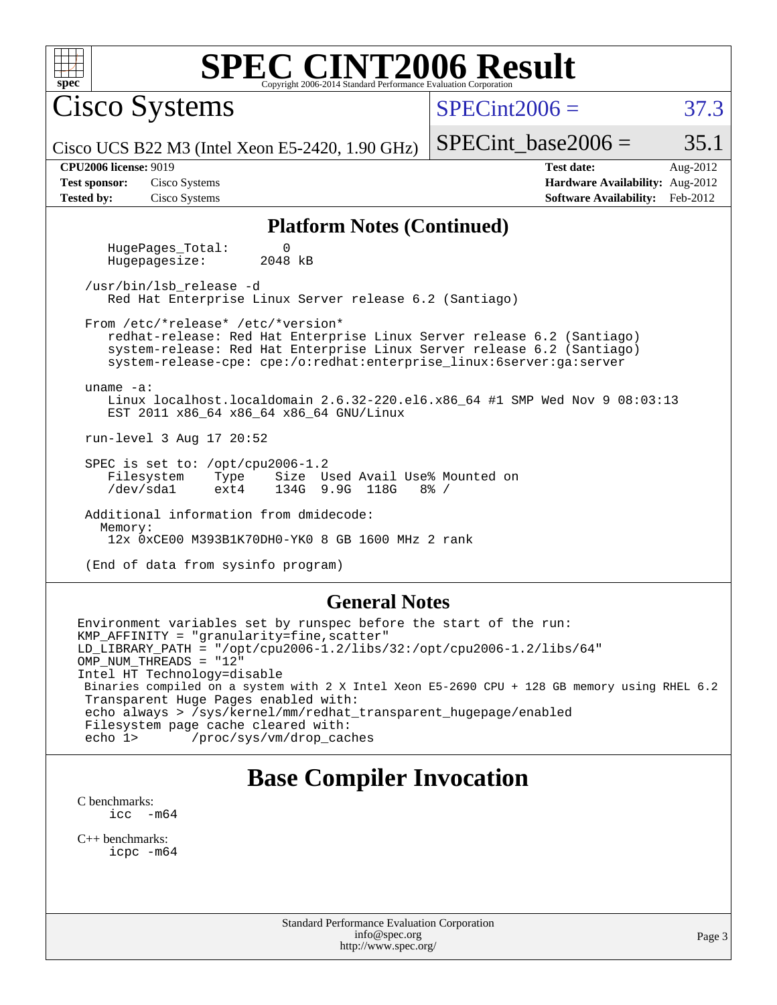| <b>SPEC CINT2006 Result</b><br>$spec*$<br>Copyright 2006-2014 Standard Performance Evaluation Corporation                                                                                                                                                                      |                                                                                                            |  |  |  |  |  |  |  |  |
|--------------------------------------------------------------------------------------------------------------------------------------------------------------------------------------------------------------------------------------------------------------------------------|------------------------------------------------------------------------------------------------------------|--|--|--|--|--|--|--|--|
| <b>Cisco Systems</b>                                                                                                                                                                                                                                                           | $SPECint2006 =$<br>37.3                                                                                    |  |  |  |  |  |  |  |  |
| Cisco UCS B22 M3 (Intel Xeon E5-2420, 1.90 GHz)                                                                                                                                                                                                                                | 35.1<br>$SPECint base2006 =$                                                                               |  |  |  |  |  |  |  |  |
| <b>CPU2006 license: 9019</b><br>Cisco Systems<br><b>Test sponsor:</b><br><b>Tested by:</b><br>Cisco Systems                                                                                                                                                                    | <b>Test date:</b><br>Aug-2012<br>Hardware Availability: Aug-2012<br><b>Software Availability:</b> Feb-2012 |  |  |  |  |  |  |  |  |
| <b>Platform Notes (Continued)</b>                                                                                                                                                                                                                                              |                                                                                                            |  |  |  |  |  |  |  |  |
| HugePages Total:<br>$\Omega$<br>2048 kB<br>Hugepagesize:                                                                                                                                                                                                                       |                                                                                                            |  |  |  |  |  |  |  |  |
| /usr/bin/lsb release -d<br>Red Hat Enterprise Linux Server release 6.2 (Santiago)                                                                                                                                                                                              |                                                                                                            |  |  |  |  |  |  |  |  |
| From /etc/*release* /etc/*version*<br>redhat-release: Red Hat Enterprise Linux Server release 6.2 (Santiago)<br>system-release: Red Hat Enterprise Linux Server release 6.2 (Santiago)<br>system-release-cpe: cpe:/o:redhat:enterprise_linux:6server:ga:server<br>uname $-a$ : |                                                                                                            |  |  |  |  |  |  |  |  |
| Linux localhost.localdomain 2.6.32-220.el6.x86_64 #1 SMP Wed Nov 9 08:03:13<br>EST 2011 x86_64 x86_64 x86_64 GNU/Linux                                                                                                                                                         |                                                                                                            |  |  |  |  |  |  |  |  |
| run-level 3 Aug 17 20:52                                                                                                                                                                                                                                                       |                                                                                                            |  |  |  |  |  |  |  |  |
| SPEC is set to: /opt/cpu2006-1.2<br>Filesystem<br>Size Used Avail Use% Mounted on<br>Type<br>/dev/sda1<br>134G 9.9G 118G<br>ext4<br>$8\frac{6}{6}$ /                                                                                                                           |                                                                                                            |  |  |  |  |  |  |  |  |
| Additional information from dmidecode:<br>Memory:<br>12x 0xCE00 M393B1K70DH0-YK0 8 GB 1600 MHz 2 rank                                                                                                                                                                          |                                                                                                            |  |  |  |  |  |  |  |  |
| (End of data from sysinfo program)                                                                                                                                                                                                                                             |                                                                                                            |  |  |  |  |  |  |  |  |
| <b>General Notes</b>                                                                                                                                                                                                                                                           |                                                                                                            |  |  |  |  |  |  |  |  |
| Environment variables set by runspec before the start of the run:<br>KMP_AFFINITY = "granularity=fine, scatter"<br>$LD_LIBRARY_PATH = "/opt/cpu2006-1.2/llbs/32://opt/cpu2006-1.2/libs/64"$<br>OMP NUM THREADS = "12"                                                          |                                                                                                            |  |  |  |  |  |  |  |  |

Intel HT Technology=disable Binaries compiled on a system with 2 X Intel Xeon E5-2690 CPU + 128 GB memory using RHEL 6.2 Transparent Huge Pages enabled with: echo always > /sys/kernel/mm/redhat\_transparent\_hugepage/enabled Filesystem page cache cleared with:<br>echo 1> /proc/sys/vm/drop\_cac /proc/sys/vm/drop\_caches

# **[Base Compiler Invocation](http://www.spec.org/auto/cpu2006/Docs/result-fields.html#BaseCompilerInvocation)**

[C benchmarks](http://www.spec.org/auto/cpu2006/Docs/result-fields.html#Cbenchmarks):  $\text{icc}$  -m64

[C++ benchmarks:](http://www.spec.org/auto/cpu2006/Docs/result-fields.html#CXXbenchmarks) [icpc -m64](http://www.spec.org/cpu2006/results/res2012q3/cpu2006-20120823-24302.flags.html#user_CXXbase_intel_icpc_64bit_fc66a5337ce925472a5c54ad6a0de310)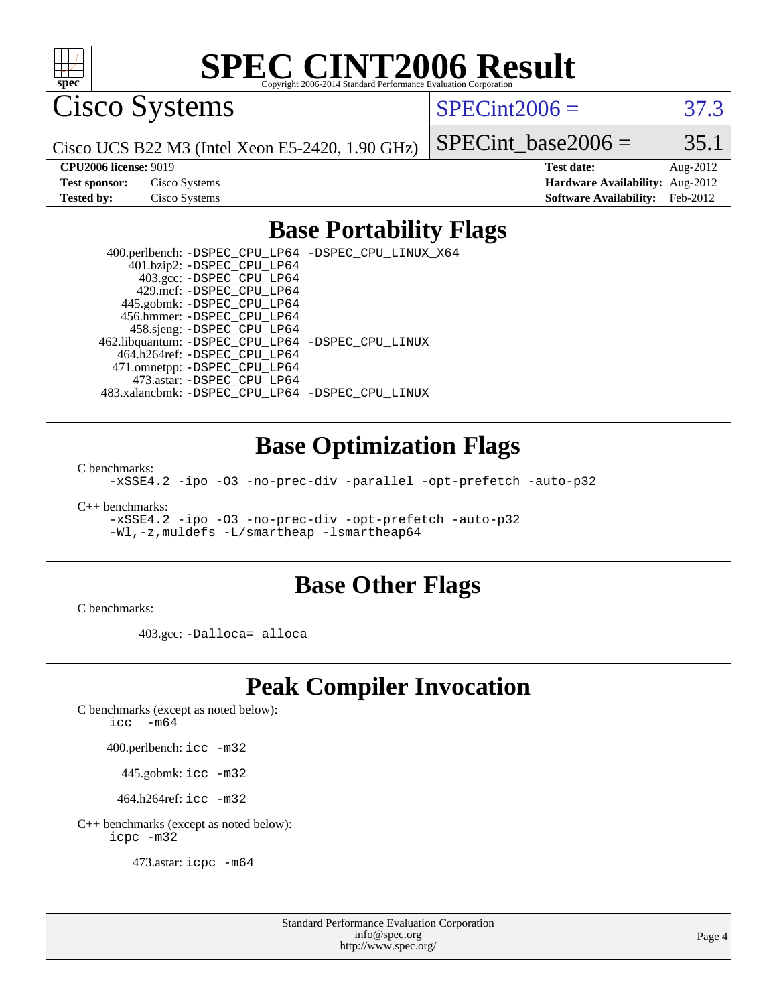

Cisco Systems

 $SPECint2006 = 37.3$  $SPECint2006 = 37.3$ 

Cisco UCS B22 M3 (Intel Xeon E5-2420, 1.90 GHz)

SPECint base2006 =  $35.1$ 

**[CPU2006 license:](http://www.spec.org/auto/cpu2006/Docs/result-fields.html#CPU2006license)** 9019 **[Test date:](http://www.spec.org/auto/cpu2006/Docs/result-fields.html#Testdate)** Aug-2012 **[Test sponsor:](http://www.spec.org/auto/cpu2006/Docs/result-fields.html#Testsponsor)** Cisco Systems **[Hardware Availability:](http://www.spec.org/auto/cpu2006/Docs/result-fields.html#HardwareAvailability)** Aug-2012 **[Tested by:](http://www.spec.org/auto/cpu2006/Docs/result-fields.html#Testedby)** Cisco Systems **[Software Availability:](http://www.spec.org/auto/cpu2006/Docs/result-fields.html#SoftwareAvailability)** Feb-2012

### **[Base Portability Flags](http://www.spec.org/auto/cpu2006/Docs/result-fields.html#BasePortabilityFlags)**

 400.perlbench: [-DSPEC\\_CPU\\_LP64](http://www.spec.org/cpu2006/results/res2012q3/cpu2006-20120823-24302.flags.html#b400.perlbench_basePORTABILITY_DSPEC_CPU_LP64) [-DSPEC\\_CPU\\_LINUX\\_X64](http://www.spec.org/cpu2006/results/res2012q3/cpu2006-20120823-24302.flags.html#b400.perlbench_baseCPORTABILITY_DSPEC_CPU_LINUX_X64) 401.bzip2: [-DSPEC\\_CPU\\_LP64](http://www.spec.org/cpu2006/results/res2012q3/cpu2006-20120823-24302.flags.html#suite_basePORTABILITY401_bzip2_DSPEC_CPU_LP64) 403.gcc: [-DSPEC\\_CPU\\_LP64](http://www.spec.org/cpu2006/results/res2012q3/cpu2006-20120823-24302.flags.html#suite_basePORTABILITY403_gcc_DSPEC_CPU_LP64) 429.mcf: [-DSPEC\\_CPU\\_LP64](http://www.spec.org/cpu2006/results/res2012q3/cpu2006-20120823-24302.flags.html#suite_basePORTABILITY429_mcf_DSPEC_CPU_LP64) 445.gobmk: [-DSPEC\\_CPU\\_LP64](http://www.spec.org/cpu2006/results/res2012q3/cpu2006-20120823-24302.flags.html#suite_basePORTABILITY445_gobmk_DSPEC_CPU_LP64) 456.hmmer: [-DSPEC\\_CPU\\_LP64](http://www.spec.org/cpu2006/results/res2012q3/cpu2006-20120823-24302.flags.html#suite_basePORTABILITY456_hmmer_DSPEC_CPU_LP64) 458.sjeng: [-DSPEC\\_CPU\\_LP64](http://www.spec.org/cpu2006/results/res2012q3/cpu2006-20120823-24302.flags.html#suite_basePORTABILITY458_sjeng_DSPEC_CPU_LP64) 462.libquantum: [-DSPEC\\_CPU\\_LP64](http://www.spec.org/cpu2006/results/res2012q3/cpu2006-20120823-24302.flags.html#suite_basePORTABILITY462_libquantum_DSPEC_CPU_LP64) [-DSPEC\\_CPU\\_LINUX](http://www.spec.org/cpu2006/results/res2012q3/cpu2006-20120823-24302.flags.html#b462.libquantum_baseCPORTABILITY_DSPEC_CPU_LINUX) 464.h264ref: [-DSPEC\\_CPU\\_LP64](http://www.spec.org/cpu2006/results/res2012q3/cpu2006-20120823-24302.flags.html#suite_basePORTABILITY464_h264ref_DSPEC_CPU_LP64) 471.omnetpp: [-DSPEC\\_CPU\\_LP64](http://www.spec.org/cpu2006/results/res2012q3/cpu2006-20120823-24302.flags.html#suite_basePORTABILITY471_omnetpp_DSPEC_CPU_LP64) 473.astar: [-DSPEC\\_CPU\\_LP64](http://www.spec.org/cpu2006/results/res2012q3/cpu2006-20120823-24302.flags.html#suite_basePORTABILITY473_astar_DSPEC_CPU_LP64) 483.xalancbmk: [-DSPEC\\_CPU\\_LP64](http://www.spec.org/cpu2006/results/res2012q3/cpu2006-20120823-24302.flags.html#suite_basePORTABILITY483_xalancbmk_DSPEC_CPU_LP64) [-DSPEC\\_CPU\\_LINUX](http://www.spec.org/cpu2006/results/res2012q3/cpu2006-20120823-24302.flags.html#b483.xalancbmk_baseCXXPORTABILITY_DSPEC_CPU_LINUX)

#### **[Base Optimization Flags](http://www.spec.org/auto/cpu2006/Docs/result-fields.html#BaseOptimizationFlags)**

[C benchmarks](http://www.spec.org/auto/cpu2006/Docs/result-fields.html#Cbenchmarks):

[-xSSE4.2](http://www.spec.org/cpu2006/results/res2012q3/cpu2006-20120823-24302.flags.html#user_CCbase_f-xSSE42_f91528193cf0b216347adb8b939d4107) [-ipo](http://www.spec.org/cpu2006/results/res2012q3/cpu2006-20120823-24302.flags.html#user_CCbase_f-ipo) [-O3](http://www.spec.org/cpu2006/results/res2012q3/cpu2006-20120823-24302.flags.html#user_CCbase_f-O3) [-no-prec-div](http://www.spec.org/cpu2006/results/res2012q3/cpu2006-20120823-24302.flags.html#user_CCbase_f-no-prec-div) [-parallel](http://www.spec.org/cpu2006/results/res2012q3/cpu2006-20120823-24302.flags.html#user_CCbase_f-parallel) [-opt-prefetch](http://www.spec.org/cpu2006/results/res2012q3/cpu2006-20120823-24302.flags.html#user_CCbase_f-opt-prefetch) [-auto-p32](http://www.spec.org/cpu2006/results/res2012q3/cpu2006-20120823-24302.flags.html#user_CCbase_f-auto-p32)

[C++ benchmarks:](http://www.spec.org/auto/cpu2006/Docs/result-fields.html#CXXbenchmarks)

[-xSSE4.2](http://www.spec.org/cpu2006/results/res2012q3/cpu2006-20120823-24302.flags.html#user_CXXbase_f-xSSE42_f91528193cf0b216347adb8b939d4107) [-ipo](http://www.spec.org/cpu2006/results/res2012q3/cpu2006-20120823-24302.flags.html#user_CXXbase_f-ipo) [-O3](http://www.spec.org/cpu2006/results/res2012q3/cpu2006-20120823-24302.flags.html#user_CXXbase_f-O3) [-no-prec-div](http://www.spec.org/cpu2006/results/res2012q3/cpu2006-20120823-24302.flags.html#user_CXXbase_f-no-prec-div) [-opt-prefetch](http://www.spec.org/cpu2006/results/res2012q3/cpu2006-20120823-24302.flags.html#user_CXXbase_f-opt-prefetch) [-auto-p32](http://www.spec.org/cpu2006/results/res2012q3/cpu2006-20120823-24302.flags.html#user_CXXbase_f-auto-p32) [-Wl,-z,muldefs](http://www.spec.org/cpu2006/results/res2012q3/cpu2006-20120823-24302.flags.html#user_CXXbase_link_force_multiple1_74079c344b956b9658436fd1b6dd3a8a) [-L/smartheap -lsmartheap64](http://www.spec.org/cpu2006/results/res2012q3/cpu2006-20120823-24302.flags.html#user_CXXbase_SmartHeap64_5e654037dadeae1fe403ab4b4466e60b)

#### **[Base Other Flags](http://www.spec.org/auto/cpu2006/Docs/result-fields.html#BaseOtherFlags)**

[C benchmarks](http://www.spec.org/auto/cpu2006/Docs/result-fields.html#Cbenchmarks):

403.gcc: [-Dalloca=\\_alloca](http://www.spec.org/cpu2006/results/res2012q3/cpu2006-20120823-24302.flags.html#b403.gcc_baseEXTRA_CFLAGS_Dalloca_be3056838c12de2578596ca5467af7f3)

### **[Peak Compiler Invocation](http://www.spec.org/auto/cpu2006/Docs/result-fields.html#PeakCompilerInvocation)**

[C benchmarks \(except as noted below\)](http://www.spec.org/auto/cpu2006/Docs/result-fields.html#Cbenchmarksexceptasnotedbelow):

[icc -m64](http://www.spec.org/cpu2006/results/res2012q3/cpu2006-20120823-24302.flags.html#user_CCpeak_intel_icc_64bit_f346026e86af2a669e726fe758c88044)

400.perlbench: [icc -m32](http://www.spec.org/cpu2006/results/res2012q3/cpu2006-20120823-24302.flags.html#user_peakCCLD400_perlbench_intel_icc_a6a621f8d50482236b970c6ac5f55f93)

445.gobmk: [icc -m32](http://www.spec.org/cpu2006/results/res2012q3/cpu2006-20120823-24302.flags.html#user_peakCCLD445_gobmk_intel_icc_a6a621f8d50482236b970c6ac5f55f93)

464.h264ref: [icc -m32](http://www.spec.org/cpu2006/results/res2012q3/cpu2006-20120823-24302.flags.html#user_peakCCLD464_h264ref_intel_icc_a6a621f8d50482236b970c6ac5f55f93)

[C++ benchmarks \(except as noted below\):](http://www.spec.org/auto/cpu2006/Docs/result-fields.html#CXXbenchmarksexceptasnotedbelow) [icpc -m32](http://www.spec.org/cpu2006/results/res2012q3/cpu2006-20120823-24302.flags.html#user_CXXpeak_intel_icpc_4e5a5ef1a53fd332b3c49e69c3330699)

473.astar: [icpc -m64](http://www.spec.org/cpu2006/results/res2012q3/cpu2006-20120823-24302.flags.html#user_peakCXXLD473_astar_intel_icpc_64bit_fc66a5337ce925472a5c54ad6a0de310)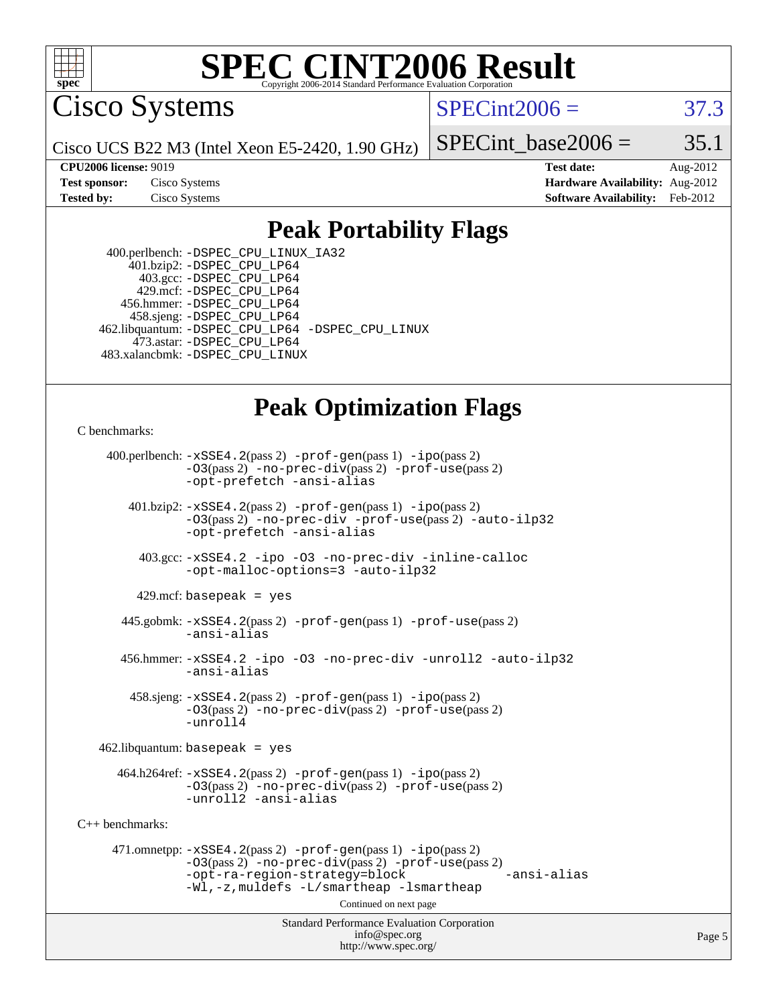

Cisco Systems

 $SPECint2006 = 37.3$  $SPECint2006 = 37.3$ 

Cisco UCS B22 M3 (Intel Xeon E5-2420, 1.90 GHz)

SPECint base2006 =  $35.1$ 

**[CPU2006 license:](http://www.spec.org/auto/cpu2006/Docs/result-fields.html#CPU2006license)** 9019 **[Test date:](http://www.spec.org/auto/cpu2006/Docs/result-fields.html#Testdate)** Aug-2012 **[Test sponsor:](http://www.spec.org/auto/cpu2006/Docs/result-fields.html#Testsponsor)** Cisco Systems **[Hardware Availability:](http://www.spec.org/auto/cpu2006/Docs/result-fields.html#HardwareAvailability)** Aug-2012 **[Tested by:](http://www.spec.org/auto/cpu2006/Docs/result-fields.html#Testedby)** Cisco Systems **[Software Availability:](http://www.spec.org/auto/cpu2006/Docs/result-fields.html#SoftwareAvailability)** Feb-2012

### **[Peak Portability Flags](http://www.spec.org/auto/cpu2006/Docs/result-fields.html#PeakPortabilityFlags)**

 400.perlbench: [-DSPEC\\_CPU\\_LINUX\\_IA32](http://www.spec.org/cpu2006/results/res2012q3/cpu2006-20120823-24302.flags.html#b400.perlbench_peakCPORTABILITY_DSPEC_CPU_LINUX_IA32) 401.bzip2: [-DSPEC\\_CPU\\_LP64](http://www.spec.org/cpu2006/results/res2012q3/cpu2006-20120823-24302.flags.html#suite_peakPORTABILITY401_bzip2_DSPEC_CPU_LP64) 403.gcc: [-DSPEC\\_CPU\\_LP64](http://www.spec.org/cpu2006/results/res2012q3/cpu2006-20120823-24302.flags.html#suite_peakPORTABILITY403_gcc_DSPEC_CPU_LP64) 429.mcf: [-DSPEC\\_CPU\\_LP64](http://www.spec.org/cpu2006/results/res2012q3/cpu2006-20120823-24302.flags.html#suite_peakPORTABILITY429_mcf_DSPEC_CPU_LP64) 456.hmmer: [-DSPEC\\_CPU\\_LP64](http://www.spec.org/cpu2006/results/res2012q3/cpu2006-20120823-24302.flags.html#suite_peakPORTABILITY456_hmmer_DSPEC_CPU_LP64) 458.sjeng: [-DSPEC\\_CPU\\_LP64](http://www.spec.org/cpu2006/results/res2012q3/cpu2006-20120823-24302.flags.html#suite_peakPORTABILITY458_sjeng_DSPEC_CPU_LP64) 462.libquantum: [-DSPEC\\_CPU\\_LP64](http://www.spec.org/cpu2006/results/res2012q3/cpu2006-20120823-24302.flags.html#suite_peakPORTABILITY462_libquantum_DSPEC_CPU_LP64) [-DSPEC\\_CPU\\_LINUX](http://www.spec.org/cpu2006/results/res2012q3/cpu2006-20120823-24302.flags.html#b462.libquantum_peakCPORTABILITY_DSPEC_CPU_LINUX) 473.astar: [-DSPEC\\_CPU\\_LP64](http://www.spec.org/cpu2006/results/res2012q3/cpu2006-20120823-24302.flags.html#suite_peakPORTABILITY473_astar_DSPEC_CPU_LP64) 483.xalancbmk: [-DSPEC\\_CPU\\_LINUX](http://www.spec.org/cpu2006/results/res2012q3/cpu2006-20120823-24302.flags.html#b483.xalancbmk_peakCXXPORTABILITY_DSPEC_CPU_LINUX)

## **[Peak Optimization Flags](http://www.spec.org/auto/cpu2006/Docs/result-fields.html#PeakOptimizationFlags)**

[C benchmarks](http://www.spec.org/auto/cpu2006/Docs/result-fields.html#Cbenchmarks):

 400.perlbench: [-xSSE4.2](http://www.spec.org/cpu2006/results/res2012q3/cpu2006-20120823-24302.flags.html#user_peakPASS2_CFLAGSPASS2_LDCFLAGS400_perlbench_f-xSSE42_f91528193cf0b216347adb8b939d4107)(pass 2) [-prof-gen](http://www.spec.org/cpu2006/results/res2012q3/cpu2006-20120823-24302.flags.html#user_peakPASS1_CFLAGSPASS1_LDCFLAGS400_perlbench_prof_gen_e43856698f6ca7b7e442dfd80e94a8fc)(pass 1) [-ipo](http://www.spec.org/cpu2006/results/res2012q3/cpu2006-20120823-24302.flags.html#user_peakPASS2_CFLAGSPASS2_LDCFLAGS400_perlbench_f-ipo)(pass 2) [-O3](http://www.spec.org/cpu2006/results/res2012q3/cpu2006-20120823-24302.flags.html#user_peakPASS2_CFLAGSPASS2_LDCFLAGS400_perlbench_f-O3)(pass 2) [-no-prec-div](http://www.spec.org/cpu2006/results/res2012q3/cpu2006-20120823-24302.flags.html#user_peakPASS2_CFLAGSPASS2_LDCFLAGS400_perlbench_f-no-prec-div)(pass 2) [-prof-use](http://www.spec.org/cpu2006/results/res2012q3/cpu2006-20120823-24302.flags.html#user_peakPASS2_CFLAGSPASS2_LDCFLAGS400_perlbench_prof_use_bccf7792157ff70d64e32fe3e1250b55)(pass 2) [-opt-prefetch](http://www.spec.org/cpu2006/results/res2012q3/cpu2006-20120823-24302.flags.html#user_peakCOPTIMIZE400_perlbench_f-opt-prefetch) [-ansi-alias](http://www.spec.org/cpu2006/results/res2012q3/cpu2006-20120823-24302.flags.html#user_peakCOPTIMIZE400_perlbench_f-ansi-alias) 401.bzip2: [-xSSE4.2](http://www.spec.org/cpu2006/results/res2012q3/cpu2006-20120823-24302.flags.html#user_peakPASS2_CFLAGSPASS2_LDCFLAGS401_bzip2_f-xSSE42_f91528193cf0b216347adb8b939d4107)(pass 2) [-prof-gen](http://www.spec.org/cpu2006/results/res2012q3/cpu2006-20120823-24302.flags.html#user_peakPASS1_CFLAGSPASS1_LDCFLAGS401_bzip2_prof_gen_e43856698f6ca7b7e442dfd80e94a8fc)(pass 1) [-ipo](http://www.spec.org/cpu2006/results/res2012q3/cpu2006-20120823-24302.flags.html#user_peakPASS2_CFLAGSPASS2_LDCFLAGS401_bzip2_f-ipo)(pass 2) [-O3](http://www.spec.org/cpu2006/results/res2012q3/cpu2006-20120823-24302.flags.html#user_peakPASS2_CFLAGSPASS2_LDCFLAGS401_bzip2_f-O3)(pass 2) [-no-prec-div](http://www.spec.org/cpu2006/results/res2012q3/cpu2006-20120823-24302.flags.html#user_peakCOPTIMIZEPASS2_CFLAGSPASS2_LDCFLAGS401_bzip2_f-no-prec-div) [-prof-use](http://www.spec.org/cpu2006/results/res2012q3/cpu2006-20120823-24302.flags.html#user_peakPASS2_CFLAGSPASS2_LDCFLAGS401_bzip2_prof_use_bccf7792157ff70d64e32fe3e1250b55)(pass 2) [-auto-ilp32](http://www.spec.org/cpu2006/results/res2012q3/cpu2006-20120823-24302.flags.html#user_peakCOPTIMIZE401_bzip2_f-auto-ilp32) [-opt-prefetch](http://www.spec.org/cpu2006/results/res2012q3/cpu2006-20120823-24302.flags.html#user_peakCOPTIMIZE401_bzip2_f-opt-prefetch) [-ansi-alias](http://www.spec.org/cpu2006/results/res2012q3/cpu2006-20120823-24302.flags.html#user_peakCOPTIMIZE401_bzip2_f-ansi-alias) 403.gcc: [-xSSE4.2](http://www.spec.org/cpu2006/results/res2012q3/cpu2006-20120823-24302.flags.html#user_peakCOPTIMIZE403_gcc_f-xSSE42_f91528193cf0b216347adb8b939d4107) [-ipo](http://www.spec.org/cpu2006/results/res2012q3/cpu2006-20120823-24302.flags.html#user_peakCOPTIMIZE403_gcc_f-ipo) [-O3](http://www.spec.org/cpu2006/results/res2012q3/cpu2006-20120823-24302.flags.html#user_peakCOPTIMIZE403_gcc_f-O3) [-no-prec-div](http://www.spec.org/cpu2006/results/res2012q3/cpu2006-20120823-24302.flags.html#user_peakCOPTIMIZE403_gcc_f-no-prec-div) [-inline-calloc](http://www.spec.org/cpu2006/results/res2012q3/cpu2006-20120823-24302.flags.html#user_peakCOPTIMIZE403_gcc_f-inline-calloc) [-opt-malloc-options=3](http://www.spec.org/cpu2006/results/res2012q3/cpu2006-20120823-24302.flags.html#user_peakCOPTIMIZE403_gcc_f-opt-malloc-options_13ab9b803cf986b4ee62f0a5998c2238) [-auto-ilp32](http://www.spec.org/cpu2006/results/res2012q3/cpu2006-20120823-24302.flags.html#user_peakCOPTIMIZE403_gcc_f-auto-ilp32)  $429$ .mcf: basepeak = yes 445.gobmk: [-xSSE4.2](http://www.spec.org/cpu2006/results/res2012q3/cpu2006-20120823-24302.flags.html#user_peakPASS2_CFLAGSPASS2_LDCFLAGS445_gobmk_f-xSSE42_f91528193cf0b216347adb8b939d4107)(pass 2) [-prof-gen](http://www.spec.org/cpu2006/results/res2012q3/cpu2006-20120823-24302.flags.html#user_peakPASS1_CFLAGSPASS1_LDCFLAGS445_gobmk_prof_gen_e43856698f6ca7b7e442dfd80e94a8fc)(pass 1) [-prof-use](http://www.spec.org/cpu2006/results/res2012q3/cpu2006-20120823-24302.flags.html#user_peakPASS2_CFLAGSPASS2_LDCFLAGS445_gobmk_prof_use_bccf7792157ff70d64e32fe3e1250b55)(pass 2) [-ansi-alias](http://www.spec.org/cpu2006/results/res2012q3/cpu2006-20120823-24302.flags.html#user_peakCOPTIMIZE445_gobmk_f-ansi-alias) 456.hmmer: [-xSSE4.2](http://www.spec.org/cpu2006/results/res2012q3/cpu2006-20120823-24302.flags.html#user_peakCOPTIMIZE456_hmmer_f-xSSE42_f91528193cf0b216347adb8b939d4107) [-ipo](http://www.spec.org/cpu2006/results/res2012q3/cpu2006-20120823-24302.flags.html#user_peakCOPTIMIZE456_hmmer_f-ipo) [-O3](http://www.spec.org/cpu2006/results/res2012q3/cpu2006-20120823-24302.flags.html#user_peakCOPTIMIZE456_hmmer_f-O3) [-no-prec-div](http://www.spec.org/cpu2006/results/res2012q3/cpu2006-20120823-24302.flags.html#user_peakCOPTIMIZE456_hmmer_f-no-prec-div) [-unroll2](http://www.spec.org/cpu2006/results/res2012q3/cpu2006-20120823-24302.flags.html#user_peakCOPTIMIZE456_hmmer_f-unroll_784dae83bebfb236979b41d2422d7ec2) [-auto-ilp32](http://www.spec.org/cpu2006/results/res2012q3/cpu2006-20120823-24302.flags.html#user_peakCOPTIMIZE456_hmmer_f-auto-ilp32) [-ansi-alias](http://www.spec.org/cpu2006/results/res2012q3/cpu2006-20120823-24302.flags.html#user_peakCOPTIMIZE456_hmmer_f-ansi-alias) 458.sjeng: [-xSSE4.2](http://www.spec.org/cpu2006/results/res2012q3/cpu2006-20120823-24302.flags.html#user_peakPASS2_CFLAGSPASS2_LDCFLAGS458_sjeng_f-xSSE42_f91528193cf0b216347adb8b939d4107)(pass 2) [-prof-gen](http://www.spec.org/cpu2006/results/res2012q3/cpu2006-20120823-24302.flags.html#user_peakPASS1_CFLAGSPASS1_LDCFLAGS458_sjeng_prof_gen_e43856698f6ca7b7e442dfd80e94a8fc)(pass 1) [-ipo](http://www.spec.org/cpu2006/results/res2012q3/cpu2006-20120823-24302.flags.html#user_peakPASS2_CFLAGSPASS2_LDCFLAGS458_sjeng_f-ipo)(pass 2) [-O3](http://www.spec.org/cpu2006/results/res2012q3/cpu2006-20120823-24302.flags.html#user_peakPASS2_CFLAGSPASS2_LDCFLAGS458_sjeng_f-O3)(pass 2) [-no-prec-div](http://www.spec.org/cpu2006/results/res2012q3/cpu2006-20120823-24302.flags.html#user_peakPASS2_CFLAGSPASS2_LDCFLAGS458_sjeng_f-no-prec-div)(pass 2) [-prof-use](http://www.spec.org/cpu2006/results/res2012q3/cpu2006-20120823-24302.flags.html#user_peakPASS2_CFLAGSPASS2_LDCFLAGS458_sjeng_prof_use_bccf7792157ff70d64e32fe3e1250b55)(pass 2) [-unroll4](http://www.spec.org/cpu2006/results/res2012q3/cpu2006-20120823-24302.flags.html#user_peakCOPTIMIZE458_sjeng_f-unroll_4e5e4ed65b7fd20bdcd365bec371b81f)  $462$ .libquantum: basepeak = yes  $464.h264 \text{ref}: -x \text{SSE4}.2(\text{pass 2}) - \text{prof-qen}(\text{pass 1}) - \text{ipo}(\text{pass 2})$ [-O3](http://www.spec.org/cpu2006/results/res2012q3/cpu2006-20120823-24302.flags.html#user_peakPASS2_CFLAGSPASS2_LDCFLAGS464_h264ref_f-O3)(pass 2) [-no-prec-div](http://www.spec.org/cpu2006/results/res2012q3/cpu2006-20120823-24302.flags.html#user_peakPASS2_CFLAGSPASS2_LDCFLAGS464_h264ref_f-no-prec-div)(pass 2) [-prof-use](http://www.spec.org/cpu2006/results/res2012q3/cpu2006-20120823-24302.flags.html#user_peakPASS2_CFLAGSPASS2_LDCFLAGS464_h264ref_prof_use_bccf7792157ff70d64e32fe3e1250b55)(pass 2) [-unroll2](http://www.spec.org/cpu2006/results/res2012q3/cpu2006-20120823-24302.flags.html#user_peakCOPTIMIZE464_h264ref_f-unroll_784dae83bebfb236979b41d2422d7ec2) [-ansi-alias](http://www.spec.org/cpu2006/results/res2012q3/cpu2006-20120823-24302.flags.html#user_peakCOPTIMIZE464_h264ref_f-ansi-alias) [C++ benchmarks:](http://www.spec.org/auto/cpu2006/Docs/result-fields.html#CXXbenchmarks) 471.omnetpp: [-xSSE4.2](http://www.spec.org/cpu2006/results/res2012q3/cpu2006-20120823-24302.flags.html#user_peakPASS2_CXXFLAGSPASS2_LDCXXFLAGS471_omnetpp_f-xSSE42_f91528193cf0b216347adb8b939d4107)(pass 2) [-prof-gen](http://www.spec.org/cpu2006/results/res2012q3/cpu2006-20120823-24302.flags.html#user_peakPASS1_CXXFLAGSPASS1_LDCXXFLAGS471_omnetpp_prof_gen_e43856698f6ca7b7e442dfd80e94a8fc)(pass 1) [-ipo](http://www.spec.org/cpu2006/results/res2012q3/cpu2006-20120823-24302.flags.html#user_peakPASS2_CXXFLAGSPASS2_LDCXXFLAGS471_omnetpp_f-ipo)(pass 2) [-O3](http://www.spec.org/cpu2006/results/res2012q3/cpu2006-20120823-24302.flags.html#user_peakPASS2_CXXFLAGSPASS2_LDCXXFLAGS471_omnetpp_f-O3)(pass 2) [-no-prec-div](http://www.spec.org/cpu2006/results/res2012q3/cpu2006-20120823-24302.flags.html#user_peakPASS2_CXXFLAGSPASS2_LDCXXFLAGS471_omnetpp_f-no-prec-div)(pass 2) [-prof-use](http://www.spec.org/cpu2006/results/res2012q3/cpu2006-20120823-24302.flags.html#user_peakPASS2_CXXFLAGSPASS2_LDCXXFLAGS471_omnetpp_prof_use_bccf7792157ff70d64e32fe3e1250b55)(pass 2) [-opt-ra-region-strategy=block](http://www.spec.org/cpu2006/results/res2012q3/cpu2006-20120823-24302.flags.html#user_peakCXXOPTIMIZE471_omnetpp_f-opt-ra-region-strategy_5382940c29ea30302d682fc74bfe0147) [-ansi-alias](http://www.spec.org/cpu2006/results/res2012q3/cpu2006-20120823-24302.flags.html#user_peakCXXOPTIMIZE471_omnetpp_f-ansi-alias) [-Wl,-z,muldefs](http://www.spec.org/cpu2006/results/res2012q3/cpu2006-20120823-24302.flags.html#user_peakEXTRA_LDFLAGS471_omnetpp_link_force_multiple1_74079c344b956b9658436fd1b6dd3a8a) [-L/smartheap -lsmartheap](http://www.spec.org/cpu2006/results/res2012q3/cpu2006-20120823-24302.flags.html#user_peakEXTRA_LIBS471_omnetpp_SmartHeap_7c9e394a5779e1a7fec7c221e123830c) Continued on next page